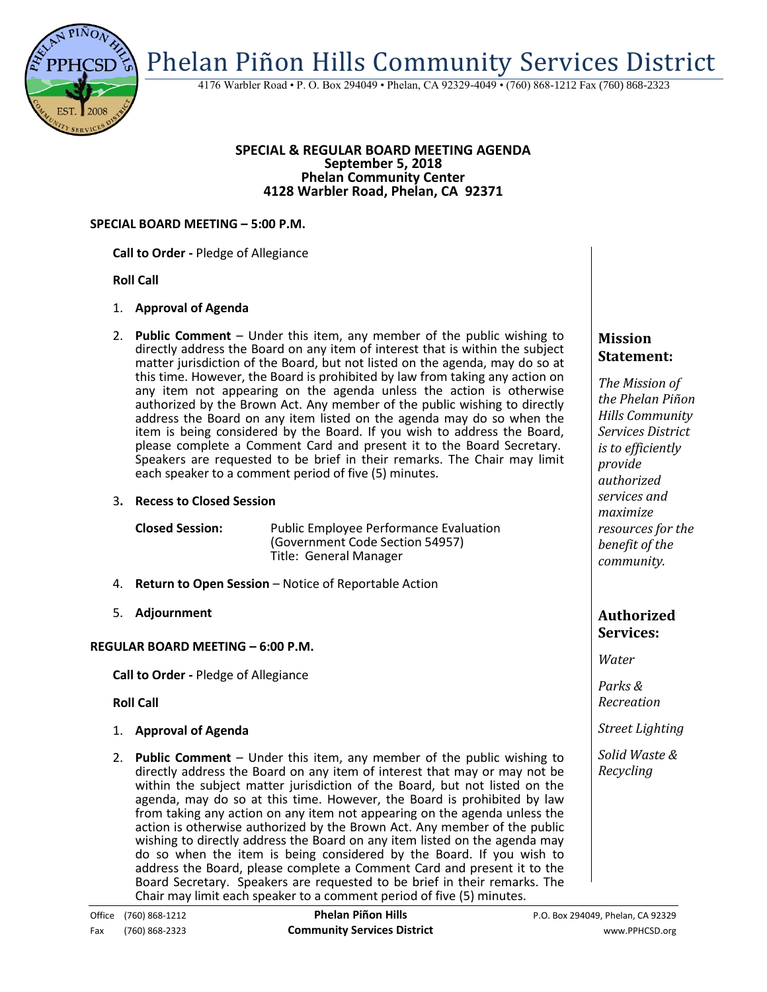

4176 Warbler Road • P. O. Box 294049 • Phelan, CA 92329-4049 • (760) 868-1212 Fax (760) 868-2323

#### **SPECIAL & REGULAR BOARD MEETING AGENDA September 5, 2018 Phelan Community Center 4128 Warbler Road, Phelan, CA 92371**

#### **SPECIAL BOARD MEETING – 5:00 P.M.**

#### **Call to Order -** Pledge of Allegiance

# **Roll Call**

# 1. **Approval of Agenda**

2. **Public Comment** – Under this item, any member of the public wishing to directly address the Board on any item of interest that is within the subject matter jurisdiction of the Board, but not listed on the agenda, may do so at this time. However, the Board is prohibited by law from taking any action on any item not appearing on the agenda unless the action is otherwise authorized by the Brown Act. Any member of the public wishing to directly address the Board on any item listed on the agenda may do so when the item is being considered by the Board. If you wish to address the Board, please complete a Comment Card and present it to the Board Secretary. Speakers are requested to be brief in their remarks. The Chair may limit each speaker to a comment period of five (5) minutes.

# 3**. Recess to Closed Session**

**Closed Session:** Public Employee Performance Evaluation (Government Code Section 54957) Title: General Manager

- 4. **Return to Open Session**  Notice of Reportable Action
- 5. **Adjournment**

# **REGULAR BOARD MEETING – 6:00 P.M.**

**Call to Order -** Pledge of Allegiance

**Roll Call**

- 1. **Approval of Agenda**
- 2. **Public Comment**  Under this item, any member of the public wishing to directly address the Board on any item of interest that may or may not be within the subject matter jurisdiction of the Board, but not listed on the agenda, may do so at this time. However, the Board is prohibited by law from taking any action on any item not appearing on the agenda unless the action is otherwise authorized by the Brown Act. Any member of the public wishing to directly address the Board on any item listed on the agenda may do so when the item is being considered by the Board. If you wish to address the Board, please complete a Comment Card and present it to the Board Secretary. Speakers are requested to be brief in their remarks. The Chair may limit each speaker to a comment period of five (5) minutes.

# **Mission Statement:**

*The Mission of the Phelan Piñon Hills Community Services District is to efficiently provide authorized services and maximize resources for the benefit of the community.*

# **Authorized Services:**

*Water*

*Parks & Recreation*

*Street Lighting*

*Solid Waste & Recycling*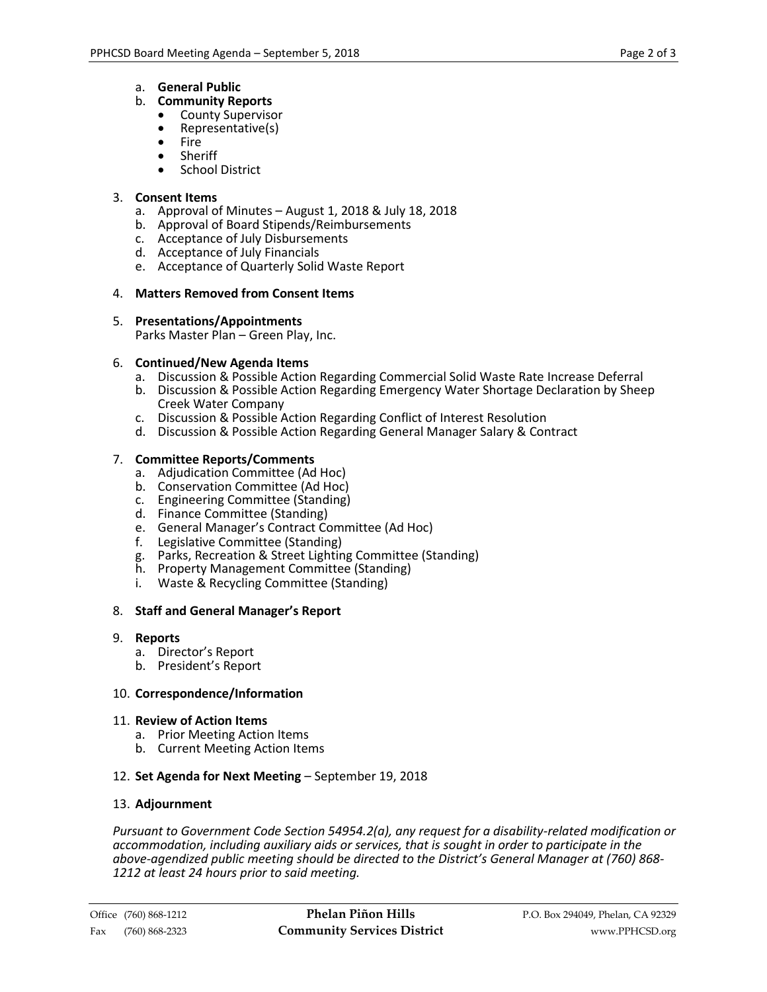a. **General Public**

# b. **Community Reports**

- County Supervisor
- Representative(s)
- Fire
- Sheriff School District

# 3. **Consent Items**

- a. Approval of Minutes August 1, 2018 & July 18, 2018
- b. Approval of Board Stipends/Reimbursements
- c. Acceptance of July Disbursements
- d. Acceptance of July Financials
- e. Acceptance of Quarterly Solid Waste Report

# 4. **Matters Removed from Consent Items**

# 5. **Presentations/Appointments**

Parks Master Plan – Green Play, Inc.

# 6. **Continued/New Agenda Items**

- a. Discussion & Possible Action Regarding Commercial Solid Waste Rate Increase Deferral
- b. Discussion & Possible Action Regarding Emergency Water Shortage Declaration by Sheep Creek Water Company
- c. Discussion & Possible Action Regarding Conflict of Interest Resolution
- d. Discussion & Possible Action Regarding General Manager Salary & Contract

# 7. **Committee Reports/Comments**

- a. Adjudication Committee (Ad Hoc)
- b. Conservation Committee (Ad Hoc)
- c. Engineering Committee (Standing)
- d. Finance Committee (Standing)
- e. General Manager's Contract Committee (Ad Hoc)
- f. Legislative Committee (Standing)
- g. Parks, Recreation & Street Lighting Committee (Standing)
- h. Property Management Committee (Standing)
- i. Waste & Recycling Committee (Standing)

# 8. **Staff and General Manager's Report**

- 9. **Reports** 
	- a. Director's Report
	- b. President's Report

# 10. **Correspondence/Information**

# 11. **Review of Action Items**

- a. Prior Meeting Action Items
- b. Current Meeting Action Items
- 12. **Set Agenda for Next Meeting** September 19, 2018

# 13. **Adjournment**

*Pursuant to Government Code Section 54954.2(a), any request for a disability-related modification or accommodation, including auxiliary aids or services, that is sought in order to participate in the above-agendized public meeting should be directed to the District's General Manager at (760) 868- 1212 at least 24 hours prior to said meeting.*